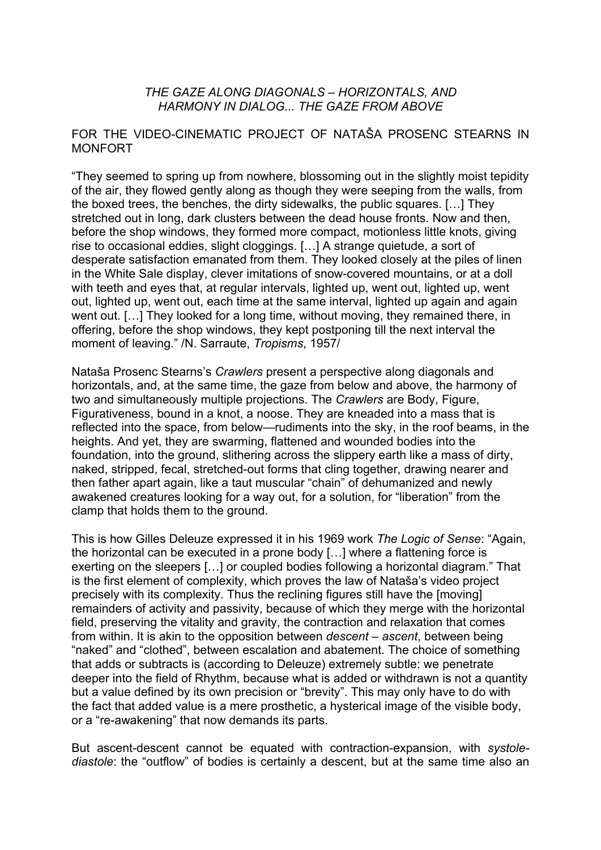## *THE GAZE ALONG DIAGONALS – HORIZONTALS, AND HARMONY IN DIALOG... THE GAZE FROM ABOVE*

## FOR THE VIDEO-CINEMATIC PROJECT OF NATAŠA PROSENC STEARNS IN MONFORT

"They seemed to spring up from nowhere, blossoming out in the slightly moist tepidity of the air, they flowed gently along as though they were seeping from the walls, from the boxed trees, the benches, the dirty sidewalks, the public squares. […] They stretched out in long, dark clusters between the dead house fronts. Now and then, before the shop windows, they formed more compact, motionless little knots, giving rise to occasional eddies, slight cloggings. […] A strange quietude, a sort of desperate satisfaction emanated from them. They looked closely at the piles of linen in the White Sale display, clever imitations of snow-covered mountains, or at a doll with teeth and eyes that, at regular intervals, lighted up, went out, lighted up, went out, lighted up, went out, each time at the same interval, lighted up again and again went out. […] They looked for a long time, without moving, they remained there, in offering, before the shop windows, they kept postponing till the next interval the moment of leaving." /N. Sarraute, *Tropisms*, 1957/

Nataša Prosenc Stearns's *Crawlers* present a perspective along diagonals and horizontals, and, at the same time, the gaze from below and above, the harmony of two and simultaneously multiple projections. The *Crawlers* are Body, Figure, Figurativeness, bound in a knot, a noose. They are kneaded into a mass that is reflected into the space, from below—rudiments into the sky, in the roof beams, in the heights. And yet, they are swarming, flattened and wounded bodies into the foundation, into the ground, slithering across the slippery earth like a mass of dirty, naked, stripped, fecal, stretched-out forms that cling together, drawing nearer and then father apart again, like a taut muscular "chain" of dehumanized and newly awakened creatures looking for a way out, for a solution, for "liberation" from the clamp that holds them to the ground.

This is how Gilles Deleuze expressed it in his 1969 work *The Logic of Sense*: "Again, the horizontal can be executed in a prone body […] where a flattening force is exerting on the sleepers […] or coupled bodies following a horizontal diagram." That is the first element of complexity, which proves the law of Nataša's video project precisely with its complexity. Thus the reclining figures still have the [moving] remainders of activity and passivity, because of which they merge with the horizontal field, preserving the vitality and gravity, the contraction and relaxation that comes from within. It is akin to the opposition between *descent – ascent*, between being "naked" and "clothed", between escalation and abatement. The choice of something that adds or subtracts is (according to Deleuze) extremely subtle: we penetrate deeper into the field of Rhythm, because what is added or withdrawn is not a quantity but a value defined by its own precision or "brevity". This may only have to do with the fact that added value is a mere prosthetic, a hysterical image of the visible body, or a "re-awakening" that now demands its parts.

But ascent-descent cannot be equated with contraction-expansion, with *systolediastole*: the "outflow" of bodies is certainly a descent, but at the same time also an